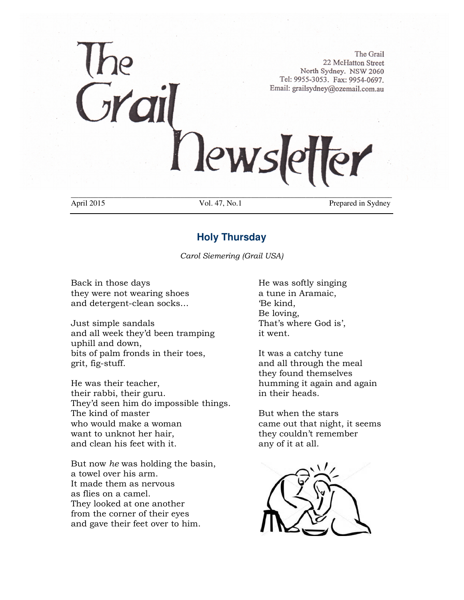# The Grail 22 McHatton Street. North Sydney. NSW 2060 Tel: 9955-3053. Fax: 9954-0697. Email: grailsydney@ozemail.com.au Newslett er \_\_\_\_\_\_\_\_\_\_\_\_\_\_\_\_\_\_\_\_\_\_\_\_\_\_\_\_\_\_\_\_\_\_\_\_\_\_\_\_\_\_\_\_\_\_\_\_\_\_\_\_\_\_\_\_\_\_\_\_\_\_\_\_\_\_\_\_\_\_\_\_\_\_\_\_\_\_\_\_\_\_

April 2015 Vol. 47, No.1 Prepared in Sydney

# **Holy Thursday**

*Carol Siemering (Grail USA)* 

Back in those days **He was softly singing** they were not wearing shoes a tune in Aramaic, and detergent-clean socks… 'Be kind,

Just simple sandals That's where God is', and all week they'd been tramping it went. uphill and down, bits of palm fronds in their toes, It was a catchy tune grit, fig-stuff. and all through the meal

He was their teacher, humming it again and again their rabbi, their guru. in their heads. They'd seen him do impossible things. The kind of master The stars But when the stars who would make a woman came out that night, it seems want to unknot her hair, they couldn't remember and clean his feet with it. any of it at all.

But now *he* was holding the basin, a towel over his arm. It made them as nervous as flies on a camel. They looked at one another from the corner of their eyes and gave their feet over to him.

Be loving,

they found themselves

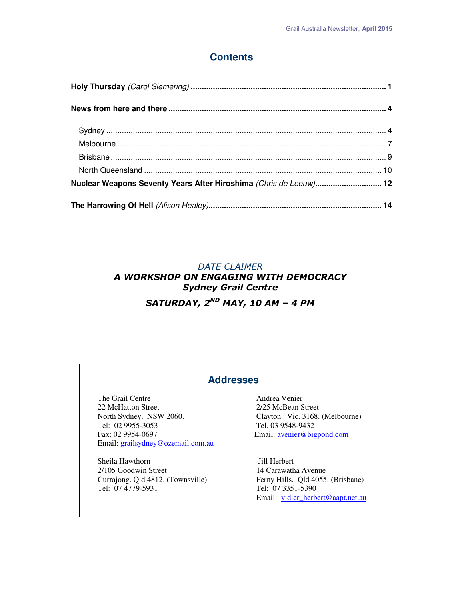# **Contents**

| Nuclear Weapons Seventy Years After Hiroshima (Chris de Leeuw) 12 |  |
|-------------------------------------------------------------------|--|
|                                                                   |  |

# *DATE CLAIMER A WORKSHOP ON ENGAGING WITH DEMOCRACY Sydney Grail Centre SATURDAY, 2ND MAY, 10 AM – 4 PM*

## **Addresses**

The Grail Centre **Andrea Venier** 22 McHatton Street 2/25 McBean Street North Sydney. NSW 2060. Clayton. Vic. 3168. (Melbourne)<br>
Tel. 02 9955-3053 Tel. 03 9548-9432 Tel: 02 9955-3053 Fax: 02 9954-0697 Email: avenier@bigpond.com Email: grailsydney@ozemail.com.au

Sheila Hawthorn Jill Herbert 2/105 Goodwin Street 14 Carawatha Avenue Currajong. Qld 4812. (Townsville) Ferny Hills. Qld 4055. (Brisbane)<br>
Tel: 07 4779-5931 Tel: 07 3351-5390

Tel: 07 3351-5390 Email: vidler\_herbert@aapt.net.au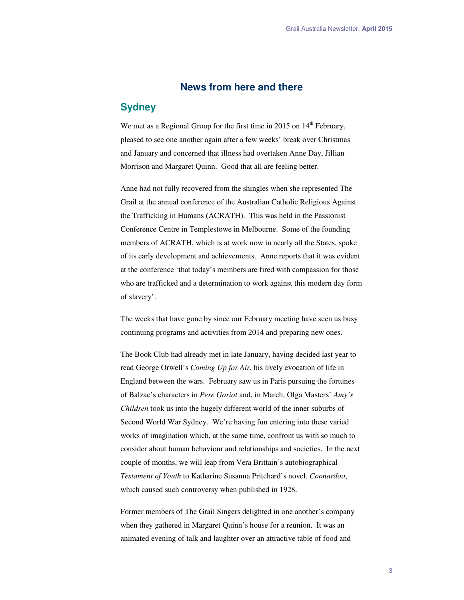## **News from here and there**

## **Sydney**

We met as a Regional Group for the first time in 2015 on  $14<sup>th</sup>$  February, pleased to see one another again after a few weeks' break over Christmas and January and concerned that illness had overtaken Anne Day, Jillian Morrison and Margaret Quinn. Good that all are feeling better.

Anne had not fully recovered from the shingles when she represented The Grail at the annual conference of the Australian Catholic Religious Against the Trafficking in Humans (ACRATH). This was held in the Passionist Conference Centre in Templestowe in Melbourne. Some of the founding members of ACRATH, which is at work now in nearly all the States, spoke of its early development and achievements. Anne reports that it was evident at the conference 'that today's members are fired with compassion for those who are trafficked and a determination to work against this modern day form of slavery'.

The weeks that have gone by since our February meeting have seen us busy continuing programs and activities from 2014 and preparing new ones.

The Book Club had already met in late January, having decided last year to read George Orwell's *Coming Up for Air*, his lively evocation of life in England between the wars. February saw us in Paris pursuing the fortunes of Balzac's characters in *Pere Goriot* and, in March, Olga Masters' *Amy's Children* took us into the hugely different world of the inner suburbs of Second World War Sydney. We're having fun entering into these varied works of imagination which, at the same time, confront us with so much to consider about human behaviour and relationships and societies. In the next couple of months, we will leap from Vera Brittain's autobiographical *Testament of Youth* to Katharine Susanna Pritchard's novel, *Coonardoo*, which caused such controversy when published in 1928.

Former members of The Grail Singers delighted in one another's company when they gathered in Margaret Quinn's house for a reunion. It was an animated evening of talk and laughter over an attractive table of food and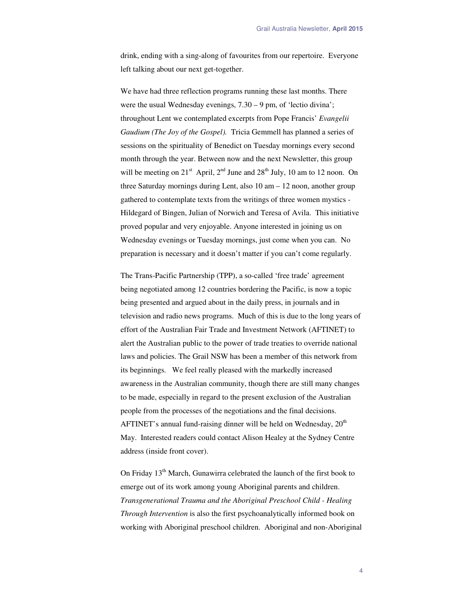drink, ending with a sing-along of favourites from our repertoire. Everyone left talking about our next get-together.

We have had three reflection programs running these last months. There were the usual Wednesday evenings, 7.30 – 9 pm, of 'lectio divina'; throughout Lent we contemplated excerpts from Pope Francis' *Evangelii Gaudium (The Joy of the Gospel).* Tricia Gemmell has planned a series of sessions on the spirituality of Benedict on Tuesday mornings every second month through the year. Between now and the next Newsletter, this group will be meeting on  $21^{st}$  April,  $2^{nd}$  June and  $28^{th}$  July, 10 am to 12 noon. On three Saturday mornings during Lent, also 10 am – 12 noon, another group gathered to contemplate texts from the writings of three women mystics - Hildegard of Bingen, Julian of Norwich and Teresa of Avila. This initiative proved popular and very enjoyable. Anyone interested in joining us on Wednesday evenings or Tuesday mornings, just come when you can. No preparation is necessary and it doesn't matter if you can't come regularly.

The Trans-Pacific Partnership (TPP), a so-called 'free trade' agreement being negotiated among 12 countries bordering the Pacific, is now a topic being presented and argued about in the daily press, in journals and in television and radio news programs. Much of this is due to the long years of effort of the Australian Fair Trade and Investment Network (AFTINET) to alert the Australian public to the power of trade treaties to override national laws and policies. The Grail NSW has been a member of this network from its beginnings. We feel really pleased with the markedly increased awareness in the Australian community, though there are still many changes to be made, especially in regard to the present exclusion of the Australian people from the processes of the negotiations and the final decisions. AFTINET's annual fund-raising dinner will be held on Wednesday,  $20<sup>th</sup>$ May. Interested readers could contact Alison Healey at the Sydney Centre address (inside front cover).

On Friday 13<sup>th</sup> March, Gunawirra celebrated the launch of the first book to emerge out of its work among young Aboriginal parents and children. *Transgenerational Trauma and the Aboriginal Preschool Child - Healing Through Intervention* is also the first psychoanalytically informed book on working with Aboriginal preschool children. Aboriginal and non-Aboriginal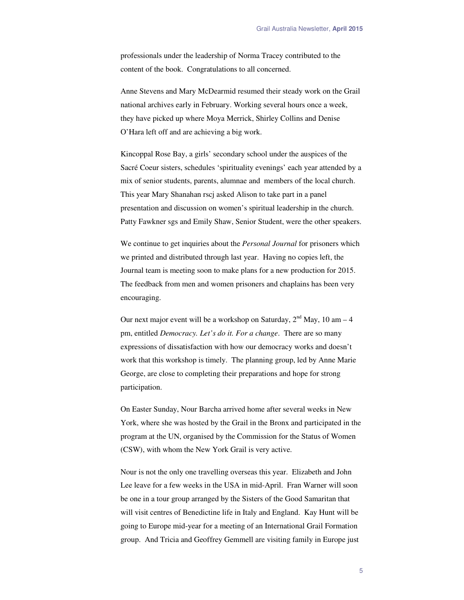professionals under the leadership of Norma Tracey contributed to the content of the book. Congratulations to all concerned.

Anne Stevens and Mary McDearmid resumed their steady work on the Grail national archives early in February. Working several hours once a week, they have picked up where Moya Merrick, Shirley Collins and Denise O'Hara left off and are achieving a big work.

Kincoppal Rose Bay, a girls' secondary school under the auspices of the Sacré Coeur sisters, schedules 'spirituality evenings' each year attended by a mix of senior students, parents, alumnae and members of the local church. This year Mary Shanahan rscj asked Alison to take part in a panel presentation and discussion on women's spiritual leadership in the church. Patty Fawkner sgs and Emily Shaw, Senior Student, were the other speakers.

We continue to get inquiries about the *Personal Journal* for prisoners which we printed and distributed through last year. Having no copies left, the Journal team is meeting soon to make plans for a new production for 2015. The feedback from men and women prisoners and chaplains has been very encouraging.

Our next major event will be a workshop on Saturday,  $2<sup>nd</sup>$  May, 10 am – 4 pm, entitled *Democracy. Let's do it. For a change*. There are so many expressions of dissatisfaction with how our democracy works and doesn't work that this workshop is timely. The planning group, led by Anne Marie George, are close to completing their preparations and hope for strong participation.

On Easter Sunday, Nour Barcha arrived home after several weeks in New York, where she was hosted by the Grail in the Bronx and participated in the program at the UN, organised by the Commission for the Status of Women (CSW), with whom the New York Grail is very active.

Nour is not the only one travelling overseas this year. Elizabeth and John Lee leave for a few weeks in the USA in mid-April. Fran Warner will soon be one in a tour group arranged by the Sisters of the Good Samaritan that will visit centres of Benedictine life in Italy and England. Kay Hunt will be going to Europe mid-year for a meeting of an International Grail Formation group. And Tricia and Geoffrey Gemmell are visiting family in Europe just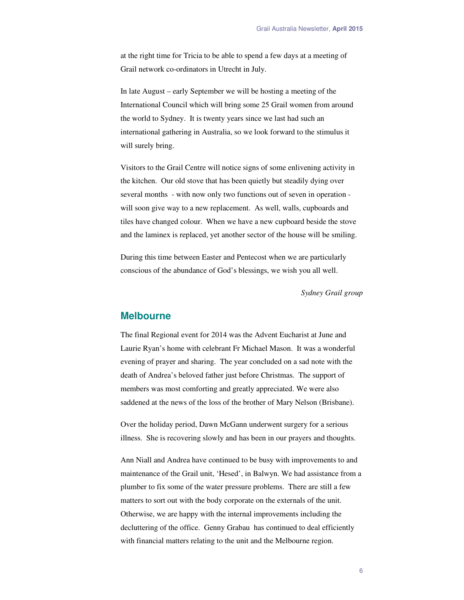at the right time for Tricia to be able to spend a few days at a meeting of Grail network co-ordinators in Utrecht in July.

In late August – early September we will be hosting a meeting of the International Council which will bring some 25 Grail women from around the world to Sydney. It is twenty years since we last had such an international gathering in Australia, so we look forward to the stimulus it will surely bring.

Visitors to the Grail Centre will notice signs of some enlivening activity in the kitchen. Our old stove that has been quietly but steadily dying over several months - with now only two functions out of seven in operation will soon give way to a new replacement. As well, walls, cupboards and tiles have changed colour. When we have a new cupboard beside the stove and the laminex is replaced, yet another sector of the house will be smiling.

During this time between Easter and Pentecost when we are particularly conscious of the abundance of God's blessings, we wish you all well.

*Sydney Grail group*

### **Melbourne**

The final Regional event for 2014 was the Advent Eucharist at June and Laurie Ryan's home with celebrant Fr Michael Mason. It was a wonderful evening of prayer and sharing. The year concluded on a sad note with the death of Andrea's beloved father just before Christmas. The support of members was most comforting and greatly appreciated. We were also saddened at the news of the loss of the brother of Mary Nelson (Brisbane).

Over the holiday period, Dawn McGann underwent surgery for a serious illness. She is recovering slowly and has been in our prayers and thoughts.

Ann Niall and Andrea have continued to be busy with improvements to and maintenance of the Grail unit, 'Hesed', in Balwyn. We had assistance from a plumber to fix some of the water pressure problems. There are still a few matters to sort out with the body corporate on the externals of the unit. Otherwise, we are happy with the internal improvements including the decluttering of the office. Genny Grabau has continued to deal efficiently with financial matters relating to the unit and the Melbourne region.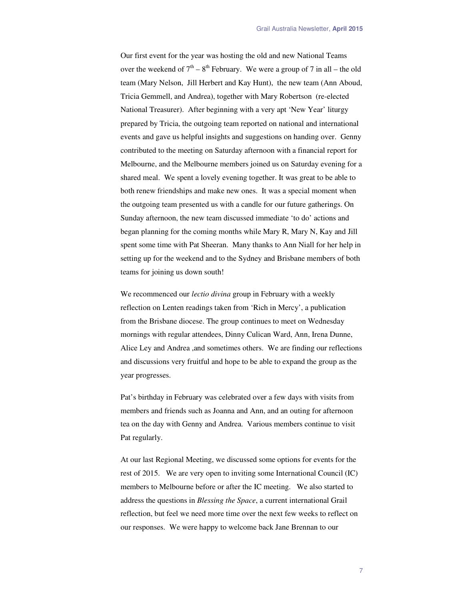Our first event for the year was hosting the old and new National Teams over the weekend of  $7<sup>th</sup> - 8<sup>th</sup>$  February. We were a group of 7 in all – the old team (Mary Nelson, Jill Herbert and Kay Hunt), the new team (Ann Aboud, Tricia Gemmell, and Andrea), together with Mary Robertson (re-elected National Treasurer). After beginning with a very apt 'New Year' liturgy prepared by Tricia, the outgoing team reported on national and international events and gave us helpful insights and suggestions on handing over. Genny contributed to the meeting on Saturday afternoon with a financial report for Melbourne, and the Melbourne members joined us on Saturday evening for a shared meal. We spent a lovely evening together. It was great to be able to both renew friendships and make new ones. It was a special moment when the outgoing team presented us with a candle for our future gatherings. On Sunday afternoon, the new team discussed immediate 'to do' actions and began planning for the coming months while Mary R, Mary N, Kay and Jill spent some time with Pat Sheeran. Many thanks to Ann Niall for her help in setting up for the weekend and to the Sydney and Brisbane members of both teams for joining us down south!

We recommenced our *lectio divina* group in February with a weekly reflection on Lenten readings taken from 'Rich in Mercy', a publication from the Brisbane diocese. The group continues to meet on Wednesday mornings with regular attendees, Dinny Culican Ward, Ann, Irena Dunne, Alice Ley and Andrea ,and sometimes others. We are finding our reflections and discussions very fruitful and hope to be able to expand the group as the year progresses.

Pat's birthday in February was celebrated over a few days with visits from members and friends such as Joanna and Ann, and an outing for afternoon tea on the day with Genny and Andrea. Various members continue to visit Pat regularly.

At our last Regional Meeting, we discussed some options for events for the rest of 2015. We are very open to inviting some International Council (IC) members to Melbourne before or after the IC meeting. We also started to address the questions in *Blessing the Space*, a current international Grail reflection, but feel we need more time over the next few weeks to reflect on our responses. We were happy to welcome back Jane Brennan to our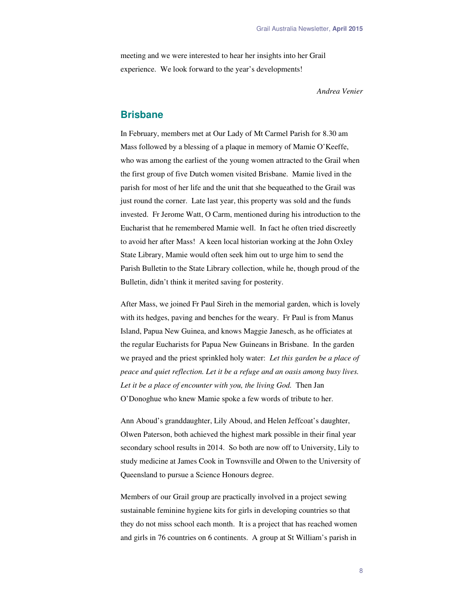meeting and we were interested to hear her insights into her Grail experience. We look forward to the year's developments!

*Andrea Venier* 

## **Brisbane**

In February, members met at Our Lady of Mt Carmel Parish for 8.30 am Mass followed by a blessing of a plaque in memory of Mamie O'Keeffe, who was among the earliest of the young women attracted to the Grail when the first group of five Dutch women visited Brisbane. Mamie lived in the parish for most of her life and the unit that she bequeathed to the Grail was just round the corner. Late last year, this property was sold and the funds invested. Fr Jerome Watt, O Carm, mentioned during his introduction to the Eucharist that he remembered Mamie well. In fact he often tried discreetly to avoid her after Mass! A keen local historian working at the John Oxley State Library, Mamie would often seek him out to urge him to send the Parish Bulletin to the State Library collection, while he, though proud of the Bulletin, didn't think it merited saving for posterity.

After Mass, we joined Fr Paul Sireh in the memorial garden, which is lovely with its hedges, paving and benches for the weary. Fr Paul is from Manus Island, Papua New Guinea, and knows Maggie Janesch, as he officiates at the regular Eucharists for Papua New Guineans in Brisbane. In the garden we prayed and the priest sprinkled holy water: *Let this garden be a place of peace and quiet reflection. Let it be a refuge and an oasis among busy lives. Let it be a place of encounter with you, the living God.* Then Jan O'Donoghue who knew Mamie spoke a few words of tribute to her.

Ann Aboud's granddaughter, Lily Aboud, and Helen Jeffcoat's daughter, Olwen Paterson, both achieved the highest mark possible in their final year secondary school results in 2014. So both are now off to University, Lily to study medicine at James Cook in Townsville and Olwen to the University of Queensland to pursue a Science Honours degree.

Members of our Grail group are practically involved in a project sewing sustainable feminine hygiene kits for girls in developing countries so that they do not miss school each month. It is a project that has reached women and girls in 76 countries on 6 continents. A group at St William's parish in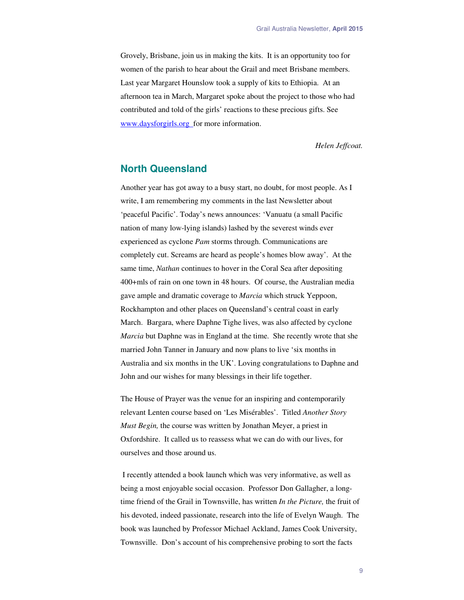Grovely, Brisbane, join us in making the kits. It is an opportunity too for women of the parish to hear about the Grail and meet Brisbane members. Last year Margaret Hounslow took a supply of kits to Ethiopia. At an afternoon tea in March, Margaret spoke about the project to those who had contributed and told of the girls' reactions to these precious gifts. See www.daysforgirls.org\_for more information.

*Helen Jeffcoat.* 

## **North Queensland**

Another year has got away to a busy start, no doubt, for most people. As I write, I am remembering my comments in the last Newsletter about 'peaceful Pacific'. Today's news announces: 'Vanuatu (a small Pacific nation of many low-lying islands) lashed by the severest winds ever experienced as cyclone *Pam* storms through. Communications are completely cut. Screams are heard as people's homes blow away'. At the same time, *Nathan* continues to hover in the Coral Sea after depositing 400+mls of rain on one town in 48 hours. Of course, the Australian media gave ample and dramatic coverage to *Marcia* which struck Yeppoon, Rockhampton and other places on Queensland's central coast in early March. Bargara, where Daphne Tighe lives, was also affected by cyclone *Marcia* but Daphne was in England at the time. She recently wrote that she married John Tanner in January and now plans to live 'six months in Australia and six months in the UK'. Loving congratulations to Daphne and John and our wishes for many blessings in their life together.

The House of Prayer was the venue for an inspiring and contemporarily relevant Lenten course based on 'Les Misérables'. Titled *Another Story Must Begin,* the course was written by Jonathan Meyer, a priest in Oxfordshire. It called us to reassess what we can do with our lives, for ourselves and those around us.

 I recently attended a book launch which was very informative, as well as being a most enjoyable social occasion. Professor Don Gallagher, a longtime friend of the Grail in Townsville, has written *In the Picture,* the fruit of his devoted, indeed passionate, research into the life of Evelyn Waugh. The book was launched by Professor Michael Ackland, James Cook University, Townsville. Don's account of his comprehensive probing to sort the facts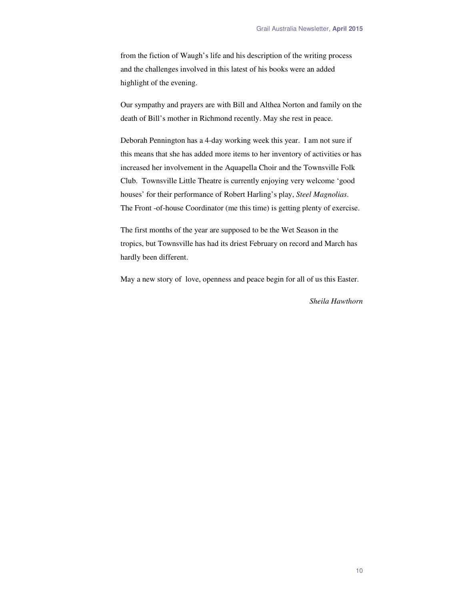from the fiction of Waugh's life and his description of the writing process and the challenges involved in this latest of his books were an added highlight of the evening.

Our sympathy and prayers are with Bill and Althea Norton and family on the death of Bill's mother in Richmond recently. May she rest in peace.

Deborah Pennington has a 4-day working week this year. I am not sure if this means that she has added more items to her inventory of activities or has increased her involvement in the Aquapella Choir and the Townsville Folk Club. Townsville Little Theatre is currently enjoying very welcome 'good houses' for their performance of Robert Harling's play, *Steel Magnolias*. The Front -of-house Coordinator (me this time) is getting plenty of exercise.

The first months of the year are supposed to be the Wet Season in the tropics, but Townsville has had its driest February on record and March has hardly been different.

May a new story of love, openness and peace begin for all of us this Easter.

*Sheila Hawthorn*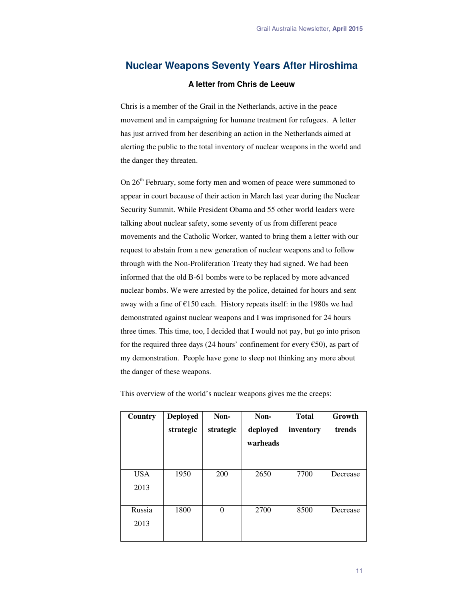## **Nuclear Weapons Seventy Years After Hiroshima**

#### **A letter from Chris de Leeuw**

Chris is a member of the Grail in the Netherlands, active in the peace movement and in campaigning for humane treatment for refugees. A letter has just arrived from her describing an action in the Netherlands aimed at alerting the public to the total inventory of nuclear weapons in the world and the danger they threaten.

On  $26<sup>th</sup>$  February, some forty men and women of peace were summoned to appear in court because of their action in March last year during the Nuclear Security Summit. While President Obama and 55 other world leaders were talking about nuclear safety, some seventy of us from different peace movements and the Catholic Worker, wanted to bring them a letter with our request to abstain from a new generation of nuclear weapons and to follow through with the Non-Proliferation Treaty they had signed. We had been informed that the old B-61 bombs were to be replaced by more advanced nuclear bombs. We were arrested by the police, detained for hours and sent away with a fine of  $£150$  each. History repeats itself: in the 1980s we had demonstrated against nuclear weapons and I was imprisoned for 24 hours three times. This time, too, I decided that I would not pay, but go into prison for the required three days (24 hours' confinement for every  $\epsilon$ 50), as part of my demonstration. People have gone to sleep not thinking any more about the danger of these weapons.

| Country    | <b>Deployed</b> | Non-      | Non-     | <b>Total</b> | Growth   |
|------------|-----------------|-----------|----------|--------------|----------|
|            | strategic       | strategic | deployed | inventory    | trends   |
|            |                 |           | warheads |              |          |
|            |                 |           |          |              |          |
| <b>USA</b> | 1950            | 200       | 2650     | 7700         | Decrease |
| 2013       |                 |           |          |              |          |
|            |                 |           |          |              |          |
| Russia     | 1800            | $\theta$  | 2700     | 8500         | Decrease |
| 2013       |                 |           |          |              |          |
|            |                 |           |          |              |          |

This overview of the world's nuclear weapons gives me the creeps: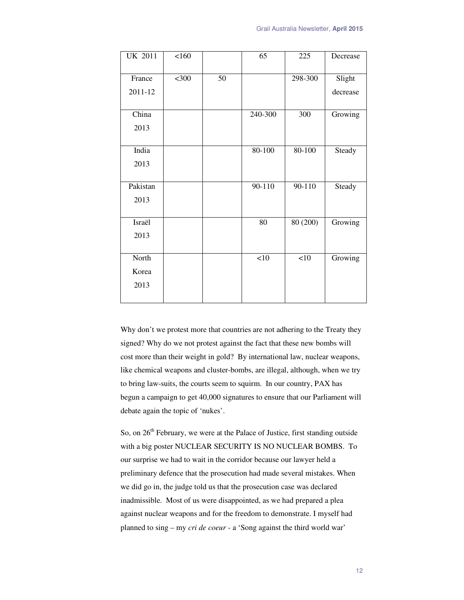| <b>UK 2011</b> | 160     |    | 65         | 225        | Decrease |
|----------------|---------|----|------------|------------|----------|
| France         | $<$ 300 | 50 |            | 298-300    | Slight   |
| 2011-12        |         |    |            |            | decrease |
|                |         |    |            |            |          |
| China          |         |    | 240-300    | 300        | Growing  |
| 2013           |         |    |            |            |          |
|                |         |    |            |            |          |
| India          |         |    | $80 - 100$ | $80 - 100$ | Steady   |
| 2013           |         |    |            |            |          |
|                |         |    |            |            |          |
| Pakistan       |         |    | 90-110     | $90 - 110$ | Steady   |
| 2013           |         |    |            |            |          |
|                |         |    |            |            |          |
| Israël         |         |    | 80         | 80(200)    | Growing  |
| 2013           |         |    |            |            |          |
|                |         |    |            |            |          |
| North          |         |    | $<10$      | <10        | Growing  |
| Korea          |         |    |            |            |          |
| 2013           |         |    |            |            |          |
|                |         |    |            |            |          |

Why don't we protest more that countries are not adhering to the Treaty they signed? Why do we not protest against the fact that these new bombs will cost more than their weight in gold? By international law, nuclear weapons, like chemical weapons and cluster-bombs, are illegal, although, when we try to bring law-suits, the courts seem to squirm. In our country, PAX has begun a campaign to get 40,000 signatures to ensure that our Parliament will debate again the topic of 'nukes'.

So, on  $26<sup>th</sup>$  February, we were at the Palace of Justice, first standing outside with a big poster NUCLEAR SECURITY IS NO NUCLEAR BOMBS. To our surprise we had to wait in the corridor because our lawyer held a preliminary defence that the prosecution had made several mistakes. When we did go in, the judge told us that the prosecution case was declared inadmissible. Most of us were disappointed, as we had prepared a plea against nuclear weapons and for the freedom to demonstrate. I myself had planned to sing – my *cri de coeur* - a 'Song against the third world war'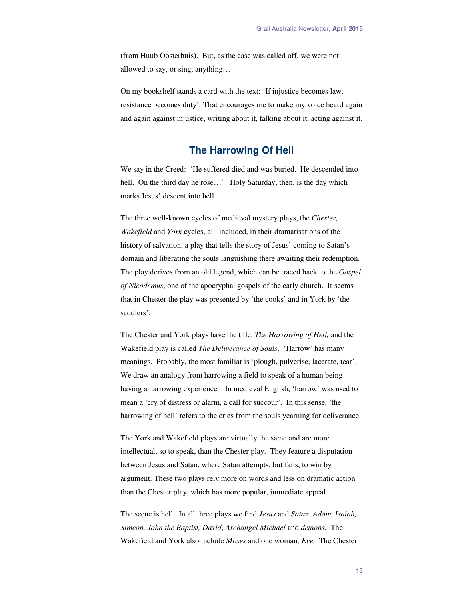(from Huub Oosterhuis). But, as the case was called off, we were not allowed to say, or sing, anything…

On my bookshelf stands a card with the text: 'If injustice becomes law, resistance becomes duty'*.* That encourages me to make my voice heard again and again against injustice, writing about it, talking about it, acting against it.

## **The Harrowing Of Hell**

We say in the Creed: 'He suffered died and was buried. He descended into hell. On the third day he rose...' Holy Saturday, then, is the day which marks Jesus' descent into hell.

The three well-known cycles of medieval mystery plays, the *Chester, Wakefield* and *York* cycles, all included, in their dramatisations of the history of salvation, a play that tells the story of Jesus' coming to Satan's domain and liberating the souls languishing there awaiting their redemption. The play derives from an old legend, which can be traced back to the *Gospel of Nicodemus*, one of the apocryphal gospels of the early church. It seems that in Chester the play was presented by 'the cooks' and in York by 'the saddlers'.

The Chester and York plays have the title, *The Harrowing of Hell,* and the Wakefield play is called *The Deliverance of Souls*. 'Harrow' has many meanings. Probably, the most familiar is 'plough, pulverise, lacerate, tear'. We draw an analogy from harrowing a field to speak of a human being having a harrowing experience. In medieval English, 'harrow' was used to mean a 'cry of distress or alarm, a call for succour'. In this sense, 'the harrowing of hell' refers to the cries from the souls yearning for deliverance.

The York and Wakefield plays are virtually the same and are more intellectual, so to speak, than the Chester play. They feature a disputation between Jesus and Satan, where Satan attempts, but fails, to win by argument. These two plays rely more on words and less on dramatic action than the Chester play, which has more popular, immediate appeal.

The scene is hell. In all three plays we find *Jesus* and *Satan*, *Adam, Isaiah, Simeon, John the Baptist, David*, *Archangel Michael* and *demons.* The Wakefield and York also include *Moses* and one woman*, Eve.* The Chester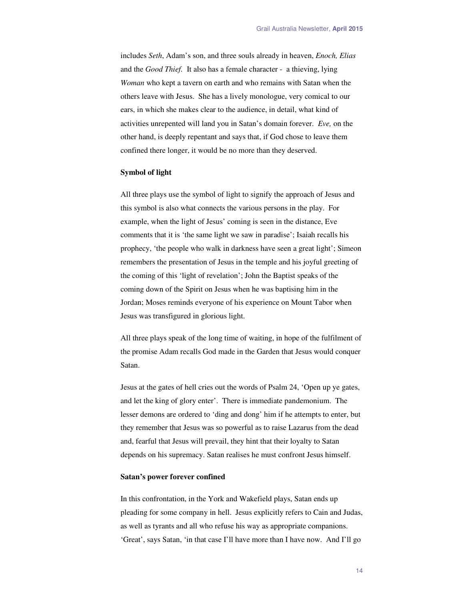includes *Seth*, Adam's son, and three souls already in heaven, *Enoch, Elias* and the *Good Thief.* It also has a female character - a thieving, lying *Woman* who kept a tavern on earth and who remains with Satan when the others leave with Jesus. She has a lively monologue, very comical to our ears, in which she makes clear to the audience, in detail, what kind of activities unrepented will land you in Satan's domain forever. *Eve,* on the other hand, is deeply repentant and says that, if God chose to leave them confined there longer, it would be no more than they deserved.

#### **Symbol of light**

All three plays use the symbol of light to signify the approach of Jesus and this symbol is also what connects the various persons in the play. For example, when the light of Jesus' coming is seen in the distance, Eve comments that it is 'the same light we saw in paradise'; Isaiah recalls his prophecy, 'the people who walk in darkness have seen a great light'; Simeon remembers the presentation of Jesus in the temple and his joyful greeting of the coming of this 'light of revelation'; John the Baptist speaks of the coming down of the Spirit on Jesus when he was baptising him in the Jordan; Moses reminds everyone of his experience on Mount Tabor when Jesus was transfigured in glorious light.

All three plays speak of the long time of waiting, in hope of the fulfilment of the promise Adam recalls God made in the Garden that Jesus would conquer Satan.

Jesus at the gates of hell cries out the words of Psalm 24, 'Open up ye gates, and let the king of glory enter'. There is immediate pandemonium. The lesser demons are ordered to 'ding and dong' him if he attempts to enter, but they remember that Jesus was so powerful as to raise Lazarus from the dead and, fearful that Jesus will prevail, they hint that their loyalty to Satan depends on his supremacy. Satan realises he must confront Jesus himself.

#### **Satan's power forever confined**

In this confrontation, in the York and Wakefield plays, Satan ends up pleading for some company in hell. Jesus explicitly refers to Cain and Judas, as well as tyrants and all who refuse his way as appropriate companions. 'Great', says Satan, 'in that case I'll have more than I have now. And I'll go

14